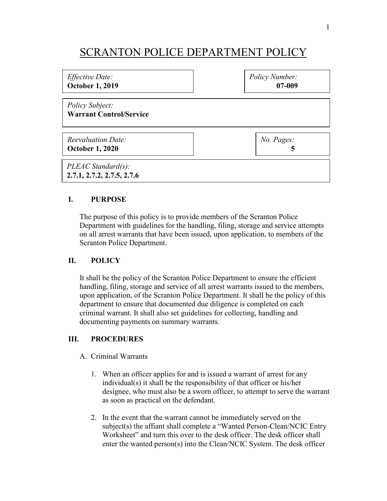# SCRANTON POLICE DEPARTMENT POLICY

| <i>Effective Date:</i>                              | Policy Number: |
|-----------------------------------------------------|----------------|
| <b>October 1, 2019</b>                              | 07-009         |
| Policy Subject:<br><b>Warrant Control/Service</b>   |                |
| <b>Reevaluation Date:</b>                           | No. Pages:     |
| <b>October 1, 2020</b>                              | 5              |
| $PLEAC Standard(s)$ :<br>2.7.1, 2.7.2, 2.7.5, 2.7.6 |                |

## **I. PURPOSE**

The purpose of this policy is to provide members of the Scranton Police Department with guidelines for the handling, filing, storage and service attempts on all arrest warrants that have been issued, upon application, to members of the Scranton Police Department.

## **II. POLICY**

It shall be the policy of the Scranton Police Department to ensure the efficient handling, filing, storage and service of all arrest warrants issued to the members, upon application, of the Scranton Police Department. It shall be the policy of this department to ensure that documented due diligence is completed on each criminal warrant. It shall also set guidelines for collecting, handling and documenting payments on summary warrants.

### **III. PROCEDURES**

### A. Criminal Warrants

- 1. When an officer applies for and is issued a warrant of arrest for any individual(s) it shall be the responsibility of that officer or his/her designee, who must also be a sworn officer, to attempt to serve the warrant as soon as practical on the defendant.
- 2. In the event that the warrant cannot be immediately served on the subject(s) the affiant shall complete a "Wanted Person-Clean/NCIC Entry Worksheet" and turn this over to the desk officer. The desk officer shall enter the wanted person(s) into the Clean/NCIC System. The desk officer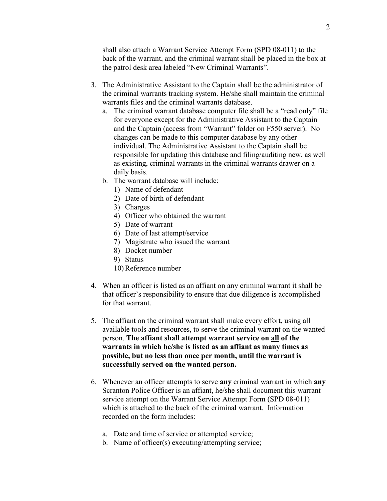shall also attach a Warrant Service Attempt Form (SPD 08-011) to the back of the warrant, and the criminal warrant shall be placed in the box at the patrol desk area labeled "New Criminal Warrants".

- 3. The Administrative Assistant to the Captain shall be the administrator of the criminal warrants tracking system. He/she shall maintain the criminal warrants files and the criminal warrants database.
	- a. The criminal warrant database computer file shall be a "read only" file for everyone except for the Administrative Assistant to the Captain and the Captain (access from "Warrant" folder on F550 server). No changes can be made to this computer database by any other individual. The Administrative Assistant to the Captain shall be responsible for updating this database and filing/auditing new, as well as existing, criminal warrants in the criminal warrants drawer on a daily basis.
	- b. The warrant database will include:
		- 1) Name of defendant
		- 2) Date of birth of defendant
		- 3) Charges
		- 4) Officer who obtained the warrant
		- 5) Date of warrant
		- 6) Date of last attempt/service
		- 7) Magistrate who issued the warrant
		- 8) Docket number
		- 9) Status
		- 10) Reference number
- 4. When an officer is listed as an affiant on any criminal warrant it shall be that officer's responsibility to ensure that due diligence is accomplished for that warrant.
- 5. The affiant on the criminal warrant shall make every effort, using all available tools and resources, to serve the criminal warrant on the wanted person. **The affiant shall attempt warrant service on all of the warrants in which he/she is listed as an affiant as many times as possible, but no less than once per month, until the warrant is successfully served on the wanted person.**
- 6. Whenever an officer attempts to serve **any** criminal warrant in which **any** Scranton Police Officer is an affiant, he/she shall document this warrant service attempt on the Warrant Service Attempt Form (SPD 08-011) which is attached to the back of the criminal warrant. Information recorded on the form includes:
	- a. Date and time of service or attempted service;
	- b. Name of officer(s) executing/attempting service;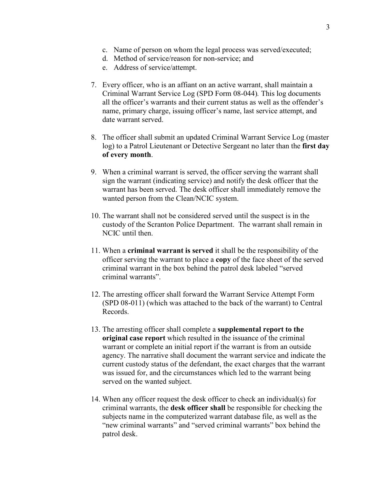- c. Name of person on whom the legal process was served/executed;
- d. Method of service/reason for non-service; and
- e. Address of service/attempt.
- 7. Every officer, who is an affiant on an active warrant, shall maintain a Criminal Warrant Service Log (SPD Form 08-044)*.* This log documents all the officer's warrants and their current status as well as the offender's name, primary charge, issuing officer's name, last service attempt, and date warrant served.
- 8. The officer shall submit an updated Criminal Warrant Service Log (master log) to a Patrol Lieutenant or Detective Sergeant no later than the **first day of every month**.
- 9. When a criminal warrant is served, the officer serving the warrant shall sign the warrant (indicating service) and notify the desk officer that the warrant has been served. The desk officer shall immediately remove the wanted person from the Clean/NCIC system.
- 10. The warrant shall not be considered served until the suspect is in the custody of the Scranton Police Department. The warrant shall remain in NCIC until then.
- 11. When a **criminal warrant is served** it shall be the responsibility of the officer serving the warrant to place a **copy** of the face sheet of the served criminal warrant in the box behind the patrol desk labeled "served criminal warrants".
- 12. The arresting officer shall forward the Warrant Service Attempt Form (SPD 08-011) (which was attached to the back of the warrant) to Central Records.
- 13. The arresting officer shall complete a **supplemental report to the original case report** which resulted in the issuance of the criminal warrant or complete an initial report if the warrant is from an outside agency. The narrative shall document the warrant service and indicate the current custody status of the defendant, the exact charges that the warrant was issued for, and the circumstances which led to the warrant being served on the wanted subject.
- 14. When any officer request the desk officer to check an individual(s) for criminal warrants, the **desk officer shall** be responsible for checking the subjects name in the computerized warrant database file, as well as the "new criminal warrants" and "served criminal warrants" box behind the patrol desk.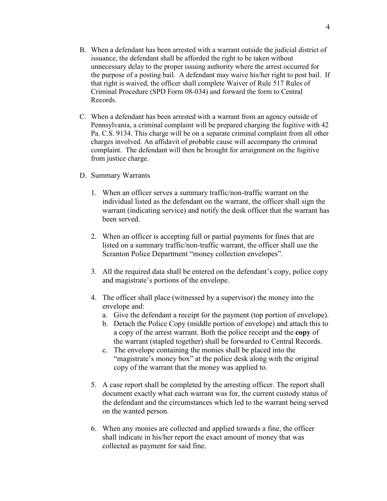- B. When a defendant has been arrested with a warrant outside the judicial district of issuance, the defendant shall be afforded the right to be taken without unnecessary delay to the proper issuing authority where the arrest occurred for the purpose of a posting bail. A defendant may waive his/her right to post bail. If that right is waived, the officer shall complete Waiver of Rule 517 Rules of Criminal Procedure (SPD Form 08-034) and forward the form to Central Records.
- C. When a defendant has been arrested with a warrant from an agency outside of Pennsylvania, a criminal complaint will be prepared charging the fugitive with 42 Pa. C.S. 9134. This charge will be on a separate criminal complaint from all other charges involved. An affidavit of probable cause will accompany the criminal complaint. The defendant will then be brought for arraignment on the fugitive from justice charge.
- D. Summary Warrants
	- 1. When an officer serves a summary traffic/non-traffic warrant on the individual listed as the defendant on the warrant, the officer shall sign the warrant (indicating service) and notify the desk officer that the warrant has been served.
	- 2. When an officer is accepting full or partial payments for fines that are listed on a summary traffic/non-traffic warrant, the officer shall use the Scranton Police Department "money collection envelopes".
	- 3. All the required data shall be entered on the defendant's copy, police copy and magistrate's portions of the envelope.
	- 4. The officer shall place (witnessed by a supervisor) the money into the envelope and:
		- a. Give the defendant a receipt for the payment (top portion of envelope).
		- b. Detach the Police Copy (middle portion of envelope) and attach this to a copy of the arrest warrant. Both the police receipt and the **copy** of the warrant (stapled together) shall be forwarded to Central Records.
		- c. The envelope containing the monies shall be placed into the "magistrate's money box" at the police desk along with the original copy of the warrant that the money was applied to.
	- 5. A case report shall be completed by the arresting officer. The report shall document exactly what each warrant was for, the current custody status of the defendant and the circumstances which led to the warrant being served on the wanted person.
	- 6. When any monies are collected and applied towards a fine, the officer shall indicate in his/her report the exact amount of money that was collected as payment for said fine.